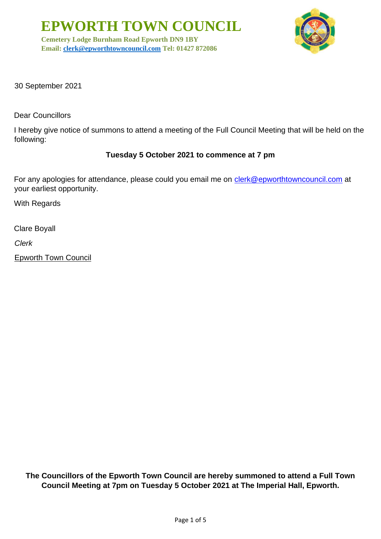**EPWORTH TOWN COUNCIL**

**Cemetery Lodge Burnham Road Epworth DN9 1BY Email: [clerk@epworthtowncouncil.com](mailto:clerk@epworthtowncouncil.com) Tel: 01427 872086**



30 September 2021

Dear Councillors

I hereby give notice of summons to attend a meeting of the Full Council Meeting that will be held on the following:

#### **Tuesday 5 October 2021 to commence at 7 pm**

For any apologies for attendance, please could you email me on clerk@epworthtowncouncil.com at your earliest opportunity.

With Regards

Clare Boyall

*Clerk*

Epworth Town Council

**The Councillors of the Epworth Town Council are hereby summoned to attend a Full Town Council Meeting at 7pm on Tuesday 5 October 2021 at The Imperial Hall, Epworth.**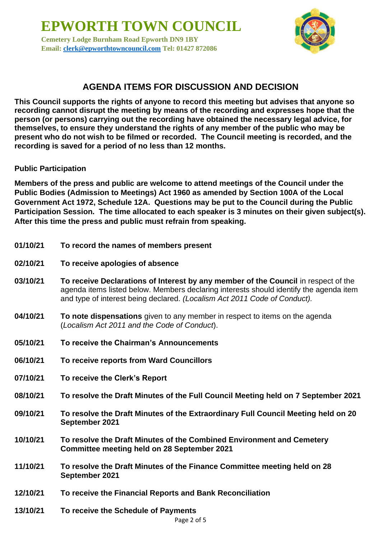**EPWORTH TOWN COUNCIL Cemetery Lodge Burnham Road Epworth DN9 1BY Email: [clerk@epworthtowncouncil.com](mailto:clerk@epworthtowncouncil.com) Tel: 01427 872086**



# **AGENDA ITEMS FOR DISCUSSION AND DECISION**

**This Council supports the rights of anyone to record this meeting but advises that anyone so recording cannot disrupt the meeting by means of the recording and expresses hope that the person (or persons) carrying out the recording have obtained the necessary legal advice, for themselves, to ensure they understand the rights of any member of the public who may be present who do not wish to be filmed or recorded. The Council meeting is recorded, and the recording is saved for a period of no less than 12 months.**

#### **Public Participation**

**Members of the press and public are welcome to attend meetings of the Council under the Public Bodies (Admission to Meetings) Act 1960 as amended by Section 100A of the Local Government Act 1972, Schedule 12A. Questions may be put to the Council during the Public Participation Session. The time allocated to each speaker is 3 minutes on their given subject(s). After this time the press and public must refrain from speaking.**

- **01/10/21 To record the names of members present**
- **02/10/21 To receive apologies of absence**
- **03/10/21 To receive Declarations of Interest by any member of the Council** in respect of the agenda items listed below. Members declaring interests should identify the agenda item and type of interest being declared. *(Localism Act 2011 Code of Conduct).*
- **04/10/21 To note dispensations** given to any member in respect to items on the agenda (*Localism Act 2011 and the Code of Conduct*).
- **05/10/21 To receive the Chairman's Announcements**
- **06/10/21 To receive reports from Ward Councillors**
- **07/10/21 To receive the Clerk's Report**
- **08/10/21 To resolve the Draft Minutes of the Full Council Meeting held on 7 September 2021**
- **09/10/21 To resolve the Draft Minutes of the Extraordinary Full Council Meeting held on 20 September 2021**
- **10/10/21 To resolve the Draft Minutes of the Combined Environment and Cemetery Committee meeting held on 28 September 2021**
- **11/10/21 To resolve the Draft Minutes of the Finance Committee meeting held on 28 September 2021**
- **12/10/21 To receive the Financial Reports and Bank Reconciliation**
- **13/10/21 To receive the Schedule of Payments**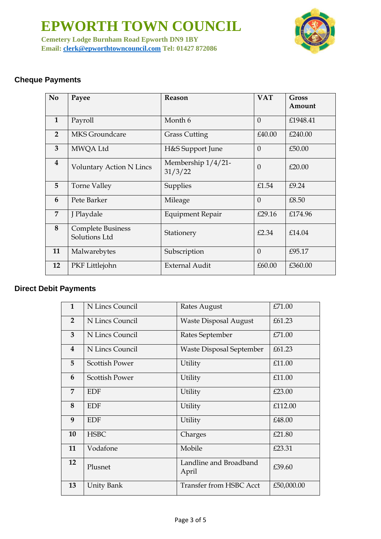**EPWORTH TOWN COUNCIL Cemetery Lodge Burnham Road Epworth DN9 1BY Email: [clerk@epworthtowncouncil.com](mailto:clerk@epworthtowncouncil.com) Tel: 01427 872086**



## **Cheque Payments**

| N <sub>o</sub>          | Payee                                     | Reason                        | <b>VAT</b> | <b>Gross</b><br>Amount |
|-------------------------|-------------------------------------------|-------------------------------|------------|------------------------|
| $\mathbf{1}$            | Payroll                                   | Month 6                       | $\theta$   | £1948.41               |
| $\overline{2}$          | <b>MKS</b> Groundcare                     | <b>Grass Cutting</b>          | £40.00     | £240.00                |
| 3                       | MWQA Ltd                                  | H&S Support June              | $\theta$   | £50.00                 |
| $\overline{\mathbf{4}}$ | Voluntary Action N Lincs                  | Membership 1/4/21-<br>31/3/22 | $\Omega$   | £20.00                 |
| 5                       | <b>Torne Valley</b>                       | Supplies                      | £1.54      | £9.24                  |
| 6                       | Pete Barker                               | Mileage                       | $\Omega$   | £8.50                  |
| 7                       | J Playdale                                | <b>Equipment Repair</b>       | £29.16     | £174.96                |
| 8                       | <b>Complete Business</b><br>Solutions Ltd | Stationery                    | £2.34      | £14.04                 |
| 11                      | Malwarebytes                              | Subscription                  | $\theta$   | £95.17                 |
| 12                      | PKF Littlejohn                            | <b>External Audit</b>         | £60.00     | £360.00                |

### **Direct Debit Payments**

| $\mathbf{1}$            | N Lincs Council       | Rates August                    | £71.00     |
|-------------------------|-----------------------|---------------------------------|------------|
| $\overline{2}$          | N Lincs Council       | <b>Waste Disposal August</b>    | £61.23     |
| $\overline{3}$          | N Lincs Council       | Rates September                 | £71.00     |
| $\overline{\mathbf{4}}$ | N Lincs Council       | Waste Disposal September        | £61.23     |
| 5                       | <b>Scottish Power</b> | Utility                         | £11.00     |
| 6                       | <b>Scottish Power</b> | Utility                         | £11.00     |
| $\overline{7}$          | <b>EDF</b>            | Utility                         | £23.00     |
| 8                       | <b>EDF</b>            | Utility                         | £112.00    |
| 9                       | <b>EDF</b>            | Utility                         | £48.00     |
| 10                      | <b>HSBC</b>           | Charges                         | £21.80     |
| 11                      | Vodafone              | Mobile                          | £23.31     |
| 12                      | Plusnet               | Landline and Broadband<br>April | £39.60     |
| 13                      | Unity Bank            | <b>Transfer from HSBC Acct</b>  | £50,000.00 |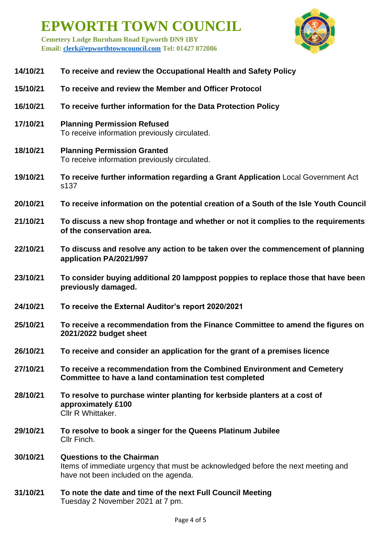**EPWORTH TOWN COUNCIL Cemetery Lodge Burnham Road Epworth DN9 1BY** 

**Email: [clerk@epworthtowncouncil.com](mailto:clerk@epworthtowncouncil.com) Tel: 01427 872086**

| 14/10/21 | To receive and review the Occupational Health and Safety Policy                                                                 |  |  |
|----------|---------------------------------------------------------------------------------------------------------------------------------|--|--|
| 15/10/21 | To receive and review the Member and Officer Protocol                                                                           |  |  |
| 16/10/21 | To receive further information for the Data Protection Policy                                                                   |  |  |
| 17/10/21 | <b>Planning Permission Refused</b><br>To receive information previously circulated.                                             |  |  |
| 18/10/21 | <b>Planning Permission Granted</b><br>To receive information previously circulated.                                             |  |  |
| 19/10/21 | To receive further information regarding a Grant Application Local Government Act<br>s137                                       |  |  |
| 20/10/21 | To receive information on the potential creation of a South of the Isle Youth Council                                           |  |  |
| 21/10/21 | To discuss a new shop frontage and whether or not it complies to the requirements<br>of the conservation area.                  |  |  |
| 22/10/21 | To discuss and resolve any action to be taken over the commencement of planning<br>application PA/2021/997                      |  |  |
| 23/10/21 | To consider buying additional 20 lamppost poppies to replace those that have been<br>previously damaged.                        |  |  |
| 24/10/21 | To receive the External Auditor's report 2020/2021                                                                              |  |  |
| 25/10/21 | To receive a recommendation from the Finance Committee to amend the figures on<br>2021/2022 budget sheet                        |  |  |
| 26/10/21 | To receive and consider an application for the grant of a premises licence                                                      |  |  |
| 27/10/21 | To receive a recommendation from the Combined Environment and Cemetery<br>Committee to have a land contamination test completed |  |  |
| 28/10/21 | To resolve to purchase winter planting for kerbside planters at a cost of<br>approximately £100                                 |  |  |

Cllr R Whittaker.

- **29/10/21 To resolve to book a singer for the Queens Platinum Jubilee** Cllr Finch.
- **30/10/21 Questions to the Chairman**  Items of immediate urgency that must be acknowledged before the next meeting and have not been included on the agenda.
- **31/10/21 To note the date and time of the next Full Council Meeting** Tuesday 2 November 2021 at 7 pm.